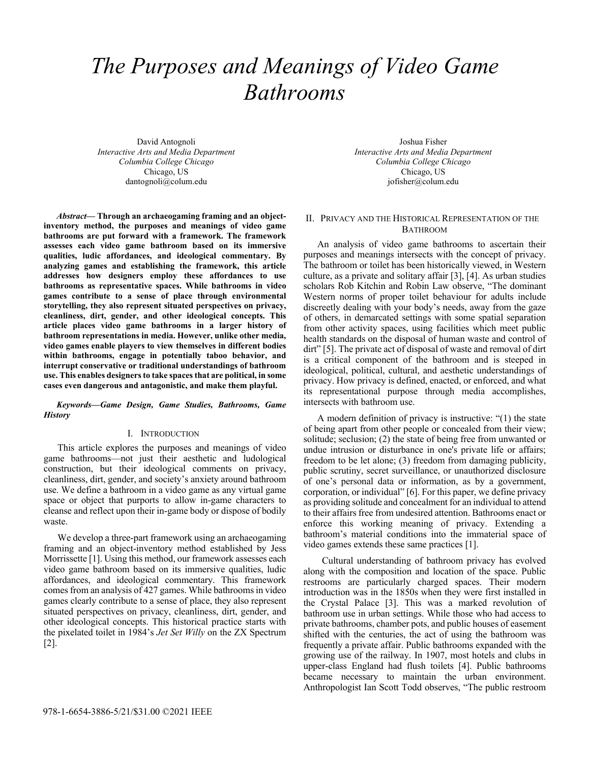# *The Purposes and Meanings of Video Game Bathrooms*

David Antognoli *Interactive Arts and Media Department Columbia College Chicago*  Chicago, US dantognoli@colum.edu

*Abstract***— Through an archaeogaming framing and an objectinventory method, the purposes and meanings of video game bathrooms are put forward with a framework. The framework assesses each video game bathroom based on its immersive qualities, ludic affordances, and ideological commentary. By analyzing games and establishing the framework, this article addresses how designers employ these affordances to use bathrooms as representative spaces. While bathrooms in video games contribute to a sense of place through environmental storytelling, they also represent situated perspectives on privacy, cleanliness, dirt, gender, and other ideological concepts. This article places video game bathrooms in a larger history of bathroom representations in media. However, unlike other media, video games enable players to view themselves in different bodies within bathrooms, engage in potentially taboo behavior, and interrupt conservative or traditional understandings of bathroom use. This enables designers to take spaces that are political, in some cases even dangerous and antagonistic, and make them playful.** 

*Keywords—Game Design, Game Studies, Bathrooms, Game History* 

# I. INTRODUCTION

This article explores the purposes and meanings of video game bathrooms—not just their aesthetic and ludological construction, but their ideological comments on privacy, cleanliness, dirt, gender, and society's anxiety around bathroom use. We define a bathroom in a video game as any virtual game space or object that purports to allow in-game characters to cleanse and reflect upon their in-game body or dispose of bodily waste.

We develop a three-part framework using an archaeogaming framing and an object-inventory method established by Jess Morrissette [1]. Using this method, our framework assesses each video game bathroom based on its immersive qualities, ludic affordances, and ideological commentary. This framework comes from an analysis of 427 games. While bathrooms in video games clearly contribute to a sense of place, they also represent situated perspectives on privacy, cleanliness, dirt, gender, and other ideological concepts. This historical practice starts with the pixelated toilet in 1984's *Jet Set Willy* on the ZX Spectrum [2].

Joshua Fisher *Interactive Arts and Media Department Columbia College Chicago*  Chicago, US jofisher@colum.edu

## II. PRIVACY AND THE HISTORICAL REPRESENTATION OF THE BATHROOM

An analysis of video game bathrooms to ascertain their purposes and meanings intersects with the concept of privacy. The bathroom or toilet has been historically viewed, in Western culture, as a private and solitary affair [3], [4]. As urban studies scholars Rob Kitchin and Robin Law observe, "The dominant Western norms of proper toilet behaviour for adults include discreetly dealing with your body's needs, away from the gaze of others, in demarcated settings with some spatial separation from other activity spaces, using facilities which meet public health standards on the disposal of human waste and control of dirt" [5]. The private act of disposal of waste and removal of dirt is a critical component of the bathroom and is steeped in ideological, political, cultural, and aesthetic understandings of privacy. How privacy is defined, enacted, or enforced, and what its representational purpose through media accomplishes, intersects with bathroom use.

A modern definition of privacy is instructive: "(1) the state of being apart from other people or concealed from their view; solitude; seclusion; (2) the state of being free from unwanted or undue intrusion or disturbance in one's private life or affairs; freedom to be let alone; (3) freedom from damaging publicity, public scrutiny, secret surveillance, or unauthorized disclosure of one's personal data or information, as by a government, corporation, or individual" [6]. For this paper, we define privacy as providing solitude and concealment for an individual to attend to their affairs free from undesired attention. Bathrooms enact or enforce this working meaning of privacy. Extending a bathroom's material conditions into the immaterial space of video games extends these same practices [1].

 Cultural understanding of bathroom privacy has evolved along with the composition and location of the space. Public restrooms are particularly charged spaces. Their modern introduction was in the 1850s when they were first installed in the Crystal Palace [3]. This was a marked revolution of bathroom use in urban settings. While those who had access to private bathrooms, chamber pots, and public houses of easement shifted with the centuries, the act of using the bathroom was frequently a private affair. Public bathrooms expanded with the growing use of the railway. In 1907, most hotels and clubs in upper-class England had flush toilets [4]. Public bathrooms became necessary to maintain the urban environment. Anthropologist Ian Scott Todd observes, "The public restroom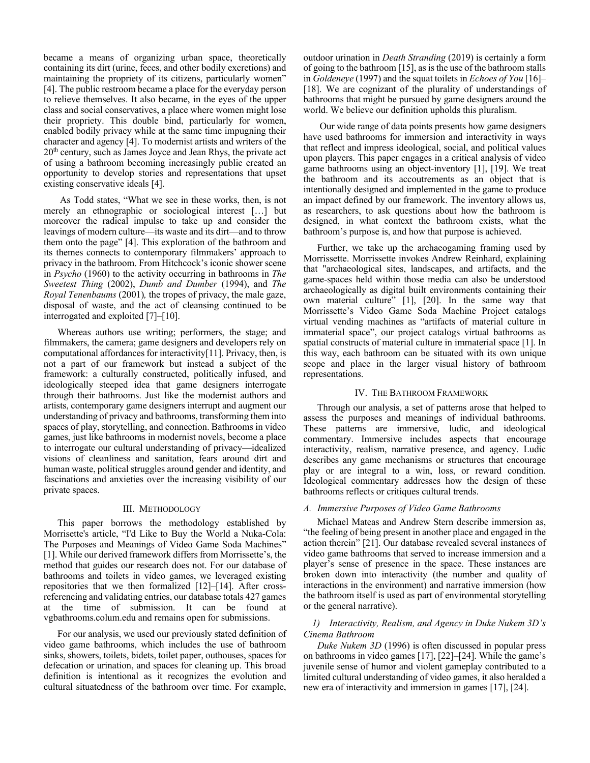became a means of organizing urban space, theoretically containing its dirt (urine, feces, and other bodily excretions) and maintaining the propriety of its citizens, particularly women" [4]. The public restroom became a place for the everyday person to relieve themselves. It also became, in the eyes of the upper class and social conservatives, a place where women might lose their propriety. This double bind, particularly for women, enabled bodily privacy while at the same time impugning their character and agency [4]. To modernist artists and writers of the 20th century, such as James Joyce and Jean Rhys, the private act of using a bathroom becoming increasingly public created an opportunity to develop stories and representations that upset existing conservative ideals [4].

 As Todd states, "What we see in these works, then, is not merely an ethnographic or sociological interest […] but moreover the radical impulse to take up and consider the leavings of modern culture—its waste and its dirt—and to throw them onto the page" [4]. This exploration of the bathroom and its themes connects to contemporary filmmakers' approach to privacy in the bathroom. From Hitchcock's iconic shower scene in *Psycho* (1960) to the activity occurring in bathrooms in *The Sweetest Thing* (2002), *Dumb and Dumber* (1994), and *The Royal Tenenbaums* (2001)*,* the tropes of privacy, the male gaze, disposal of waste, and the act of cleansing continued to be interrogated and exploited [7]–[10].

Whereas authors use writing; performers, the stage; and filmmakers, the camera; game designers and developers rely on computational affordances for interactivity[11]. Privacy, then, is not a part of our framework but instead a subject of the framework: a culturally constructed, politically infused, and ideologically steeped idea that game designers interrogate through their bathrooms. Just like the modernist authors and artists, contemporary game designers interrupt and augment our understanding of privacy and bathrooms, transforming them into spaces of play, storytelling, and connection. Bathrooms in video games, just like bathrooms in modernist novels, become a place to interrogate our cultural understanding of privacy—idealized visions of cleanliness and sanitation, fears around dirt and human waste, political struggles around gender and identity, and fascinations and anxieties over the increasing visibility of our private spaces.

#### III. METHODOLOGY

This paper borrows the methodology established by Morrisette's article, "I'd Like to Buy the World a Nuka-Cola: The Purposes and Meanings of Video Game Soda Machines" [1]. While our derived framework differs from Morrissette's, the method that guides our research does not. For our database of bathrooms and toilets in video games, we leveraged existing repositories that we then formalized [12]–[14]. After crossreferencing and validating entries, our database totals 427 games at the time of submission. It can be found at vgbathrooms.colum.edu and remains open for submissions.

For our analysis, we used our previously stated definition of video game bathrooms, which includes the use of bathroom sinks, showers, toilets, bidets, toilet paper, outhouses, spaces for defecation or urination, and spaces for cleaning up. This broad definition is intentional as it recognizes the evolution and cultural situatedness of the bathroom over time. For example,

outdoor urination in *Death Stranding* (2019) is certainly a form of going to the bathroom [15], as is the use of the bathroom stalls in *Goldeneye* (1997) and the squat toilets in *Echoes of You* [16]– [18]. We are cognizant of the plurality of understandings of bathrooms that might be pursued by game designers around the world. We believe our definition upholds this pluralism.

 Our wide range of data points presents how game designers have used bathrooms for immersion and interactivity in ways that reflect and impress ideological, social, and political values upon players. This paper engages in a critical analysis of video game bathrooms using an object-inventory [1], [19]. We treat the bathroom and its accoutrements as an object that is intentionally designed and implemented in the game to produce an impact defined by our framework. The inventory allows us, as researchers, to ask questions about how the bathroom is designed, in what context the bathroom exists, what the bathroom's purpose is, and how that purpose is achieved.

Further, we take up the archaeogaming framing used by Morrissette. Morrissette invokes Andrew Reinhard, explaining that "archaeological sites, landscapes, and artifacts, and the game-spaces held within those media can also be understood archaeologically as digital built environments containing their own material culture" [1], [20]. In the same way that Morrissette's Video Game Soda Machine Project catalogs virtual vending machines as "artifacts of material culture in immaterial space", our project catalogs virtual bathrooms as spatial constructs of material culture in immaterial space [1]. In this way, each bathroom can be situated with its own unique scope and place in the larger visual history of bathroom representations.

## IV. THE BATHROOM FRAMEWORK

Through our analysis, a set of patterns arose that helped to assess the purposes and meanings of individual bathrooms. These patterns are immersive, ludic, and ideological commentary. Immersive includes aspects that encourage interactivity, realism, narrative presence, and agency. Ludic describes any game mechanisms or structures that encourage play or are integral to a win, loss, or reward condition. Ideological commentary addresses how the design of these bathrooms reflects or critiques cultural trends.

## *A. Immersive Purposes of Video Game Bathrooms*

Michael Mateas and Andrew Stern describe immersion as, "the feeling of being present in another place and engaged in the action therein" [21]. Our database revealed several instances of video game bathrooms that served to increase immersion and a player's sense of presence in the space. These instances are broken down into interactivity (the number and quality of interactions in the environment) and narrative immersion (how the bathroom itself is used as part of environmental storytelling or the general narrative).

# *1) Interactivity, Realism, and Agency in Duke Nukem 3D's Cinema Bathroom*

*Duke Nukem 3D* (1996) is often discussed in popular press on bathrooms in video games [17], [22]–[24]. While the game's juvenile sense of humor and violent gameplay contributed to a limited cultural understanding of video games, it also heralded a new era of interactivity and immersion in games [17], [24].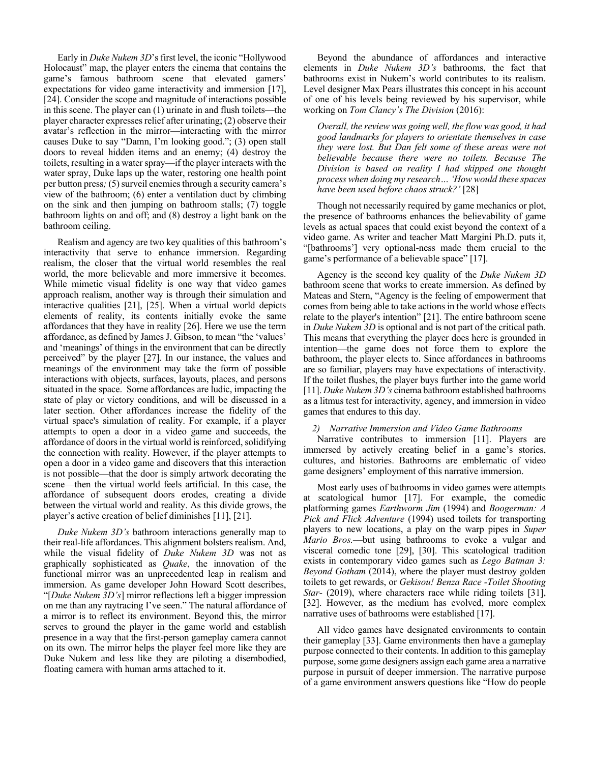Early in *Duke Nukem 3D*'s first level, the iconic "Hollywood Holocaust" map, the player enters the cinema that contains the game's famous bathroom scene that elevated gamers' expectations for video game interactivity and immersion [17], [24]. Consider the scope and magnitude of interactions possible in this scene. The player can (1) urinate in and flush toilets—the player character expresses relief after urinating; (2) observe their avatar's reflection in the mirror—interacting with the mirror causes Duke to say "Damn, I'm looking good."; (3) open stall doors to reveal hidden items and an enemy; (4) destroy the toilets, resulting in a water spray—if the player interacts with the water spray, Duke laps up the water, restoring one health point per button press*;* (5) surveil enemies through a security camera's view of the bathroom; (6) enter a ventilation duct by climbing on the sink and then jumping on bathroom stalls; (7) toggle bathroom lights on and off; and (8) destroy a light bank on the bathroom ceiling.

Realism and agency are two key qualities of this bathroom's interactivity that serve to enhance immersion. Regarding realism, the closer that the virtual world resembles the real world, the more believable and more immersive it becomes. While mimetic visual fidelity is one way that video games approach realism, another way is through their simulation and interactive qualities [21], [25]. When a virtual world depicts elements of reality, its contents initially evoke the same affordances that they have in reality [26]. Here we use the term affordance, as defined by James J. Gibson, to mean "the 'values' and 'meanings' of things in the environment that can be directly perceived" by the player [27]. In our instance, the values and meanings of the environment may take the form of possible interactions with objects, surfaces, layouts, places, and persons situated in the space. Some affordances are ludic, impacting the state of play or victory conditions, and will be discussed in a later section. Other affordances increase the fidelity of the virtual space's simulation of reality. For example, if a player attempts to open a door in a video game and succeeds, the affordance of doors in the virtual world is reinforced, solidifying the connection with reality. However, if the player attempts to open a door in a video game and discovers that this interaction is not possible—that the door is simply artwork decorating the scene—then the virtual world feels artificial. In this case, the affordance of subsequent doors erodes, creating a divide between the virtual world and reality. As this divide grows, the player's active creation of belief diminishes [11], [21].

*Duke Nukem 3D's* bathroom interactions generally map to their real-life affordances. This alignment bolsters realism. And, while the visual fidelity of *Duke Nukem 3D* was not as graphically sophisticated as *Quake*, the innovation of the functional mirror was an unprecedented leap in realism and immersion. As game developer John Howard Scott describes, "[*Duke Nukem 3D's*] mirror reflections left a bigger impression on me than any raytracing I've seen." The natural affordance of a mirror is to reflect its environment. Beyond this, the mirror serves to ground the player in the game world and establish presence in a way that the first-person gameplay camera cannot on its own. The mirror helps the player feel more like they are Duke Nukem and less like they are piloting a disembodied, floating camera with human arms attached to it.

Beyond the abundance of affordances and interactive elements in *Duke Nukem 3D's* bathrooms, the fact that bathrooms exist in Nukem's world contributes to its realism. Level designer Max Pears illustrates this concept in his account of one of his levels being reviewed by his supervisor, while working on *Tom Clancy's The Division* (2016):

*Overall, the review was going well, the flow was good, it had good landmarks for players to orientate themselves in case they were lost. But Dan felt some of these areas were not believable because there were no toilets. Because The Division is based on reality I had skipped one thought process when doing my research… 'How would these spaces have been used before chaos struck?'* [28]

Though not necessarily required by game mechanics or plot, the presence of bathrooms enhances the believability of game levels as actual spaces that could exist beyond the context of a video game. As writer and teacher Matt Margini Ph.D. puts it, "[bathrooms'] very optional-ness made them crucial to the game's performance of a believable space" [17].

 Agency is the second key quality of the *Duke Nukem 3D* bathroom scene that works to create immersion. As defined by Mateas and Stern, "Agency is the feeling of empowerment that comes from being able to take actions in the world whose effects relate to the player's intention" [21]. The entire bathroom scene in *Duke Nukem 3D* is optional and is not part of the critical path. This means that everything the player does here is grounded in intention—the game does not force them to explore the bathroom, the player elects to. Since affordances in bathrooms are so familiar, players may have expectations of interactivity. If the toilet flushes, the player buys further into the game world [11]. *Duke Nukem 3D's* cinema bathroom established bathrooms as a litmus test for interactivity, agency, and immersion in video games that endures to this day.

## *2) Narrative Immersion and Video Game Bathrooms*

Narrative contributes to immersion [11]. Players are immersed by actively creating belief in a game's stories, cultures, and histories. Bathrooms are emblematic of video game designers' employment of this narrative immersion.

Most early uses of bathrooms in video games were attempts at scatological humor [17]. For example, the comedic platforming games *Earthworm Jim* (1994) and *Boogerman: A Pick and Flick Adventure* (1994) used toilets for transporting players to new locations, a play on the warp pipes in *Super Mario Bros.*—but using bathrooms to evoke a vulgar and visceral comedic tone [29], [30]. This scatological tradition exists in contemporary video games such as *Lego Batman 3: Beyond Gotham* (2014), where the player must destroy golden toilets to get rewards, or *Gekisou! Benza Race -Toilet Shooting Star-* (2019), where characters race while riding toilets [31], [32]. However, as the medium has evolved, more complex narrative uses of bathrooms were established [17].

All video games have designated environments to contain their gameplay [33]. Game environments then have a gameplay purpose connected to their contents. In addition to this gameplay purpose, some game designers assign each game area a narrative purpose in pursuit of deeper immersion. The narrative purpose of a game environment answers questions like "How do people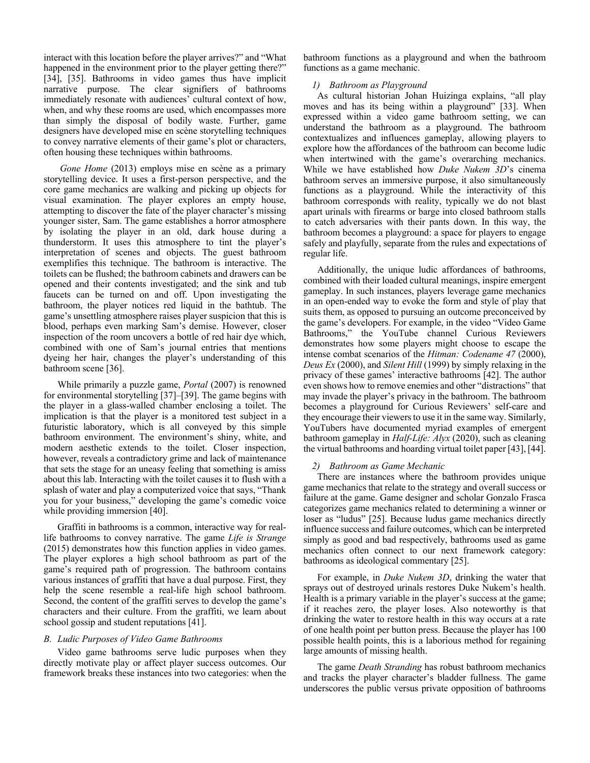interact with this location before the player arrives?" and "What happened in the environment prior to the player getting there?" [34], [35]. Bathrooms in video games thus have implicit narrative purpose. The clear signifiers of bathrooms immediately resonate with audiences' cultural context of how, when, and why these rooms are used, which encompasses more than simply the disposal of bodily waste. Further, game designers have developed mise en scène storytelling techniques to convey narrative elements of their game's plot or characters, often housing these techniques within bathrooms.

*Gone Home* (2013) employs mise en scène as a primary storytelling device. It uses a first-person perspective, and the core game mechanics are walking and picking up objects for visual examination. The player explores an empty house, attempting to discover the fate of the player character's missing younger sister, Sam. The game establishes a horror atmosphere by isolating the player in an old, dark house during a thunderstorm. It uses this atmosphere to tint the player's interpretation of scenes and objects. The guest bathroom exemplifies this technique. The bathroom is interactive. The toilets can be flushed; the bathroom cabinets and drawers can be opened and their contents investigated; and the sink and tub faucets can be turned on and off. Upon investigating the bathroom, the player notices red liquid in the bathtub. The game's unsettling atmosphere raises player suspicion that this is blood, perhaps even marking Sam's demise. However, closer inspection of the room uncovers a bottle of red hair dye which, combined with one of Sam's journal entries that mentions dyeing her hair, changes the player's understanding of this bathroom scene [36].

While primarily a puzzle game, *Portal* (2007) is renowned for environmental storytelling [37]–[39]. The game begins with the player in a glass-walled chamber enclosing a toilet. The implication is that the player is a monitored test subject in a futuristic laboratory, which is all conveyed by this simple bathroom environment. The environment's shiny, white, and modern aesthetic extends to the toilet. Closer inspection, however, reveals a contradictory grime and lack of maintenance that sets the stage for an uneasy feeling that something is amiss about this lab. Interacting with the toilet causes it to flush with a splash of water and play a computerized voice that says, "Thank you for your business," developing the game's comedic voice while providing immersion [40].

Graffiti in bathrooms is a common, interactive way for reallife bathrooms to convey narrative. The game *Life is Strange* (2015) demonstrates how this function applies in video games. The player explores a high school bathroom as part of the game's required path of progression. The bathroom contains various instances of graffiti that have a dual purpose. First, they help the scene resemble a real-life high school bathroom. Second, the content of the graffiti serves to develop the game's characters and their culture. From the graffiti, we learn about school gossip and student reputations [41].

# *B. Ludic Purposes of Video Game Bathrooms*

Video game bathrooms serve ludic purposes when they directly motivate play or affect player success outcomes. Our framework breaks these instances into two categories: when the bathroom functions as a playground and when the bathroom functions as a game mechanic.

## *1) Bathroom as Playground*

As cultural historian Johan Huizinga explains, "all play moves and has its being within a playground" [33]. When expressed within a video game bathroom setting, we can understand the bathroom as a playground. The bathroom contextualizes and influences gameplay, allowing players to explore how the affordances of the bathroom can become ludic when intertwined with the game's overarching mechanics. While we have established how *Duke Nukem 3D*'s cinema bathroom serves an immersive purpose, it also simultaneously functions as a playground. While the interactivity of this bathroom corresponds with reality, typically we do not blast apart urinals with firearms or barge into closed bathroom stalls to catch adversaries with their pants down. In this way, the bathroom becomes a playground: a space for players to engage safely and playfully, separate from the rules and expectations of regular life.

Additionally, the unique ludic affordances of bathrooms, combined with their loaded cultural meanings, inspire emergent gameplay. In such instances, players leverage game mechanics in an open-ended way to evoke the form and style of play that suits them, as opposed to pursuing an outcome preconceived by the game's developers. For example, in the video "Video Game Bathrooms," the YouTube channel Curious Reviewers demonstrates how some players might choose to escape the intense combat scenarios of the *Hitman: Codename 47* (2000), *Deus Ex* (2000), and *Silent Hill* (1999) by simply relaxing in the privacy of these games' interactive bathrooms [42]. The author even shows how to remove enemies and other "distractions" that may invade the player's privacy in the bathroom. The bathroom becomes a playground for Curious Reviewers' self-care and they encourage their viewers to use it in the same way. Similarly, YouTubers have documented myriad examples of emergent bathroom gameplay in *Half-Life: Alyx* (2020), such as cleaning the virtual bathrooms and hoarding virtual toilet paper [43], [44].

## *2) Bathroom as Game Mechanic*

There are instances where the bathroom provides unique game mechanics that relate to the strategy and overall success or failure at the game. Game designer and scholar Gonzalo Frasca categorizes game mechanics related to determining a winner or loser as "ludus" [25]. Because ludus game mechanics directly influence success and failure outcomes, which can be interpreted simply as good and bad respectively, bathrooms used as game mechanics often connect to our next framework category: bathrooms as ideological commentary [25].

For example, in *Duke Nukem 3D*, drinking the water that sprays out of destroyed urinals restores Duke Nukem's health. Health is a primary variable in the player's success at the game; if it reaches zero, the player loses. Also noteworthy is that drinking the water to restore health in this way occurs at a rate of one health point per button press. Because the player has 100 possible health points, this is a laborious method for regaining large amounts of missing health.

The game *Death Stranding* has robust bathroom mechanics and tracks the player character's bladder fullness. The game underscores the public versus private opposition of bathrooms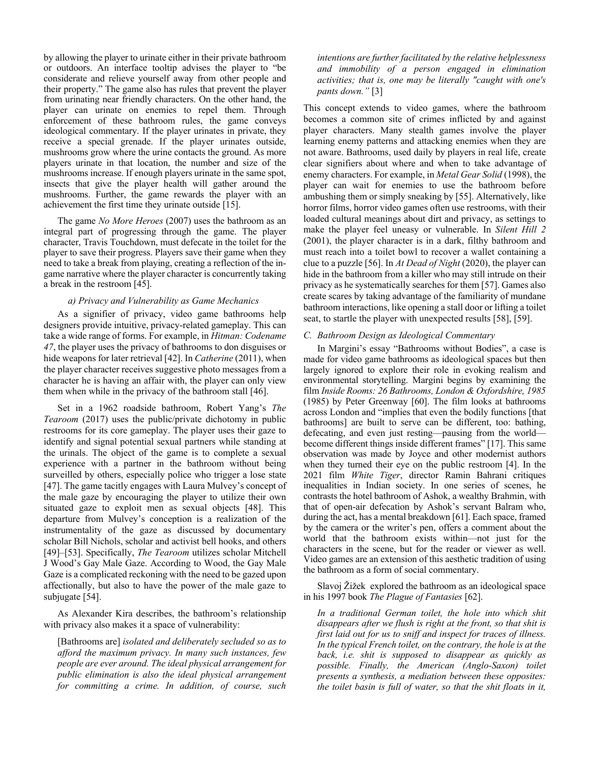by allowing the player to urinate either in their private bathroom or outdoors. An interface tooltip advises the player to "be considerate and relieve yourself away from other people and their property." The game also has rules that prevent the player from urinating near friendly characters. On the other hand, the player can urinate on enemies to repel them. Through enforcement of these bathroom rules, the game conveys ideological commentary. If the player urinates in private, they receive a special grenade. If the player urinates outside, mushrooms grow where the urine contacts the ground. As more players urinate in that location, the number and size of the mushrooms increase. If enough players urinate in the same spot, insects that give the player health will gather around the mushrooms. Further, the game rewards the player with an achievement the first time they urinate outside [15].

The game *No More Heroes* (2007) uses the bathroom as an integral part of progressing through the game. The player character, Travis Touchdown, must defecate in the toilet for the player to save their progress. Players save their game when they need to take a break from playing, creating a reflection of the ingame narrative where the player character is concurrently taking a break in the restroom [45].

# *a) Privacy and Vulnerability as Game Mechanics*

As a signifier of privacy, video game bathrooms help designers provide intuitive, privacy-related gameplay. This can take a wide range of forms. For example, in *Hitman: Codename 47*, the player uses the privacy of bathrooms to don disguises or hide weapons for later retrieval [42]. In *Catherine* (2011), when the player character receives suggestive photo messages from a character he is having an affair with, the player can only view them when while in the privacy of the bathroom stall [46].

Set in a 1962 roadside bathroom, Robert Yang's *The Tearoom* (2017) uses the public/private dichotomy in public restrooms for its core gameplay. The player uses their gaze to identify and signal potential sexual partners while standing at the urinals. The object of the game is to complete a sexual experience with a partner in the bathroom without being surveilled by others, especially police who trigger a lose state [47]. The game tacitly engages with Laura Mulvey's concept of the male gaze by encouraging the player to utilize their own situated gaze to exploit men as sexual objects [48]. This departure from Mulvey's conception is a realization of the instrumentality of the gaze as discussed by documentary scholar Bill Nichols, scholar and activist bell hooks, and others [49]–[53]. Specifically, *The Tearoom* utilizes scholar Mitchell J Wood's Gay Male Gaze. According to Wood, the Gay Male Gaze is a complicated reckoning with the need to be gazed upon affectionally, but also to have the power of the male gaze to subjugate [54].

As Alexander Kira describes, the bathroom's relationship with privacy also makes it a space of vulnerability:

[Bathrooms are] *isolated and deliberately secluded so as to afford the maximum privacy. In many such instances, few people are ever around. The ideal physical arrangement for public elimination is also the ideal physical arrangement for committing a crime. In addition, of course, such*  *intentions are further facilitated by the relative helplessness and immobility of a person engaged in elimination activities; that is, one may be literally "caught with one's pants down."* [3]

This concept extends to video games, where the bathroom becomes a common site of crimes inflicted by and against player characters. Many stealth games involve the player learning enemy patterns and attacking enemies when they are not aware. Bathrooms, used daily by players in real life, create clear signifiers about where and when to take advantage of enemy characters. For example, in *Metal Gear Solid* (1998), the player can wait for enemies to use the bathroom before ambushing them or simply sneaking by [55]. Alternatively, like horror films, horror video games often use restrooms, with their loaded cultural meanings about dirt and privacy, as settings to make the player feel uneasy or vulnerable. In *Silent Hill 2* (2001), the player character is in a dark, filthy bathroom and must reach into a toilet bowl to recover a wallet containing a clue to a puzzle [56]. In *At Dead of Night* (2020), the player can hide in the bathroom from a killer who may still intrude on their privacy as he systematically searches for them [57]. Games also create scares by taking advantage of the familiarity of mundane bathroom interactions, like opening a stall door or lifting a toilet seat, to startle the player with unexpected results [58], [59].

## *C. Bathroom Design as Ideological Commentary*

In Margini's essay "Bathrooms without Bodies", a case is made for video game bathrooms as ideological spaces but then largely ignored to explore their role in evoking realism and environmental storytelling. Margini begins by examining the film *Inside Rooms: 26 Bathrooms, London & Oxfordshire, 1985*  (1985) by Peter Greenway [60]. The film looks at bathrooms across London and "implies that even the bodily functions [that bathrooms] are built to serve can be different, too: bathing, defecating, and even just resting—pausing from the world become different things inside different frames" [17]. This same observation was made by Joyce and other modernist authors when they turned their eye on the public restroom [4]. In the 2021 film *White Tiger*, director Ramin Bahrani critiques inequalities in Indian society. In one series of scenes, he contrasts the hotel bathroom of Ashok, a wealthy Brahmin, with that of open-air defecation by Ashok's servant Balram who, during the act, has a mental breakdown [61]. Each space, framed by the camera or the writer's pen, offers a comment about the world that the bathroom exists within—not just for the characters in the scene, but for the reader or viewer as well. Video games are an extension of this aesthetic tradition of using the bathroom as a form of social commentary.

Slavoj Žižek explored the bathroom as an ideological space in his 1997 book *The Plague of Fantasies* [62].

*In a traditional German toilet, the hole into which shit disappears after we flush is right at the front, so that shit is first laid out for us to sniff and inspect for traces of illness. In the typical French toilet, on the contrary, the hole is at the back, i.e. shit is supposed to disappear as quickly as possible. Finally, the American (Anglo-Saxon) toilet presents a synthesis, a mediation between these opposites: the toilet basin is full of water, so that the shit floats in it,*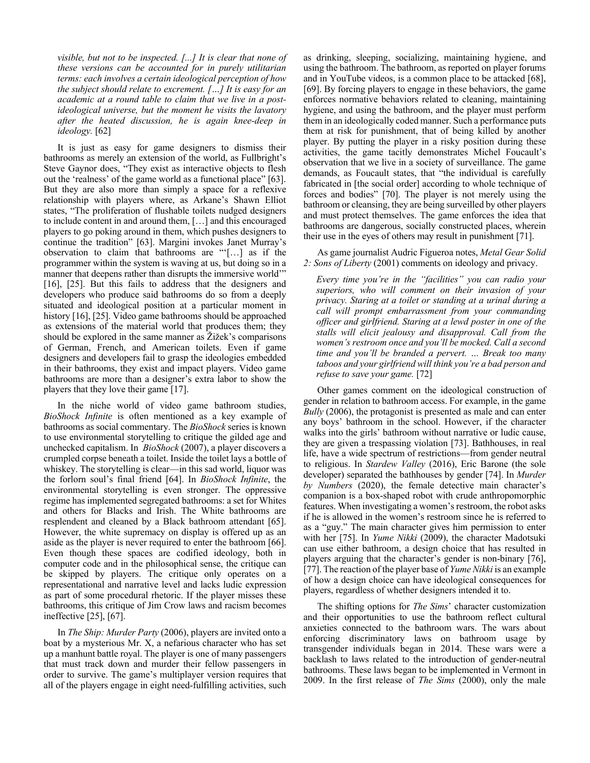*visible, but not to be inspected. [...] It is clear that none of these versions can be accounted for in purely utilitarian terms: each involves a certain ideological perception of how the subject should relate to excrement. […] It is easy for an academic at a round table to claim that we live in a postideological universe, but the moment he visits the lavatory after the heated discussion, he is again knee-deep in ideology.* [62]

It is just as easy for game designers to dismiss their bathrooms as merely an extension of the world, as Fullbright's Steve Gaynor does, "They exist as interactive objects to flesh out the 'realness' of the game world as a functional place" [63]. But they are also more than simply a space for a reflexive relationship with players where, as Arkane's Shawn Elliot states, "The proliferation of flushable toilets nudged designers to include content in and around them, […] and this encouraged players to go poking around in them, which pushes designers to continue the tradition" [63]. Margini invokes Janet Murray's observation to claim that bathrooms are "'[…] as if the programmer within the system is waving at us, but doing so in a manner that deepens rather than disrupts the immersive world'" [16], [25]. But this fails to address that the designers and developers who produce said bathrooms do so from a deeply situated and ideological position at a particular moment in history [16], [25]. Video game bathrooms should be approached as extensions of the material world that produces them; they should be explored in the same manner as Žižek's comparisons of German, French, and American toilets. Even if game designers and developers fail to grasp the ideologies embedded in their bathrooms, they exist and impact players. Video game bathrooms are more than a designer's extra labor to show the players that they love their game [17].

In the niche world of video game bathroom studies, *BioShock Infinite* is often mentioned as a key example of bathrooms as social commentary. The *BioShock* series is known to use environmental storytelling to critique the gilded age and unchecked capitalism. In *BioShock* (2007), a player discovers a crumpled corpse beneath a toilet. Inside the toilet lays a bottle of whiskey. The storytelling is clear—in this sad world, liquor was the forlorn soul's final friend [64]. In *BioShock Infinite*, the environmental storytelling is even stronger. The oppressive regime has implemented segregated bathrooms: a set for Whites and others for Blacks and Irish. The White bathrooms are resplendent and cleaned by a Black bathroom attendant [65]. However, the white supremacy on display is offered up as an aside as the player is never required to enter the bathroom [66]. Even though these spaces are codified ideology, both in computer code and in the philosophical sense, the critique can be skipped by players. The critique only operates on a representational and narrative level and lacks ludic expression as part of some procedural rhetoric. If the player misses these bathrooms, this critique of Jim Crow laws and racism becomes ineffective [25], [67].

In *The Ship: Murder Party* (2006), players are invited onto a boat by a mysterious Mr. X, a nefarious character who has set up a manhunt battle royal. The player is one of many passengers that must track down and murder their fellow passengers in order to survive. The game's multiplayer version requires that all of the players engage in eight need-fulfilling activities, such as drinking, sleeping, socializing, maintaining hygiene, and using the bathroom. The bathroom, as reported on player forums and in YouTube videos, is a common place to be attacked [68], [69]. By forcing players to engage in these behaviors, the game enforces normative behaviors related to cleaning, maintaining hygiene, and using the bathroom, and the player must perform them in an ideologically coded manner. Such a performance puts them at risk for punishment, that of being killed by another player. By putting the player in a risky position during these activities, the game tacitly demonstrates Michel Foucault's observation that we live in a society of surveillance. The game demands, as Foucault states, that "the individual is carefully fabricated in [the social order] according to whole technique of forces and bodies" [70]. The player is not merely using the bathroom or cleansing, they are being surveilled by other players and must protect themselves. The game enforces the idea that bathrooms are dangerous, socially constructed places, wherein their use in the eyes of others may result in punishment [71].

As game journalist Audric Figueroa notes, *Metal Gear Solid 2: Sons of Liberty* (2001) comments on ideology and privacy.

*Every time you're in the "facilities" you can radio your superiors, who will comment on their invasion of your privacy. Staring at a toilet or standing at a urinal during a call will prompt embarrassment from your commanding officer and girlfriend. Staring at a lewd poster in one of the stalls will elicit jealousy and disapproval. Call from the women's restroom once and you'll be mocked. Call a second time and you'll be branded a pervert. … Break too many taboos and your girlfriend will think you're a bad person and refuse to save your game.* [72]

Other games comment on the ideological construction of gender in relation to bathroom access. For example, in the game *Bully* (2006), the protagonist is presented as male and can enter any boys' bathroom in the school. However, if the character walks into the girls' bathroom without narrative or ludic cause, they are given a trespassing violation [73]. Bathhouses, in real life, have a wide spectrum of restrictions—from gender neutral to religious. In *Stardew Valley* (2016), Eric Barone (the sole developer) separated the bathhouses by gender [74]. In *Murder by Numbers* (2020), the female detective main character's companion is a box-shaped robot with crude anthropomorphic features. When investigating a women's restroom, the robot asks if he is allowed in the women's restroom since he is referred to as a "guy." The main character gives him permission to enter with her [75]. In *Yume Nikki* (2009), the character Madotsuki can use either bathroom, a design choice that has resulted in players arguing that the character's gender is non-binary [76], [77]. The reaction of the player base of *Yume Nikki* is an example of how a design choice can have ideological consequences for players, regardless of whether designers intended it to.

The shifting options for *The Sims*' character customization and their opportunities to use the bathroom reflect cultural anxieties connected to the bathroom wars. The wars about enforcing discriminatory laws on bathroom usage by transgender individuals began in 2014. These wars were a backlash to laws related to the introduction of gender-neutral bathrooms. These laws began to be implemented in Vermont in 2009. In the first release of *The Sims* (2000), only the male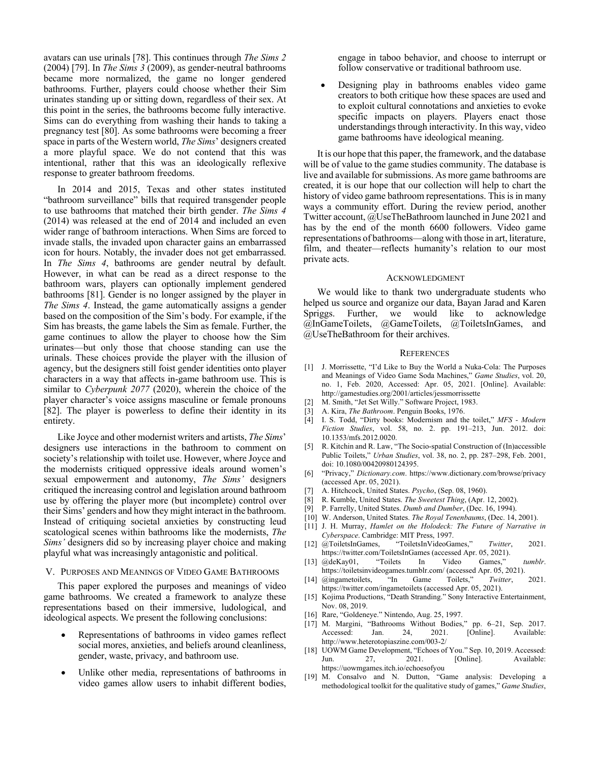avatars can use urinals [78]. This continues through *The Sims 2*  (2004) [79]. In *The Sims 3* (2009), as gender-neutral bathrooms became more normalized, the game no longer gendered bathrooms. Further, players could choose whether their Sim urinates standing up or sitting down, regardless of their sex. At this point in the series, the bathrooms become fully interactive. Sims can do everything from washing their hands to taking a pregnancy test [80]. As some bathrooms were becoming a freer space in parts of the Western world, *The Sims*' designers created a more playful space. We do not contend that this was intentional, rather that this was an ideologically reflexive response to greater bathroom freedoms.

In 2014 and 2015, Texas and other states instituted "bathroom surveillance" bills that required transgender people to use bathrooms that matched their birth gender. *The Sims 4* (2014) was released at the end of 2014 and included an even wider range of bathroom interactions. When Sims are forced to invade stalls, the invaded upon character gains an embarrassed icon for hours. Notably, the invader does not get embarrassed. In *The Sims 4*, bathrooms are gender neutral by default. However, in what can be read as a direct response to the bathroom wars, players can optionally implement gendered bathrooms [81]. Gender is no longer assigned by the player in *The Sims 4*. Instead, the game automatically assigns a gender based on the composition of the Sim's body. For example, if the Sim has breasts, the game labels the Sim as female. Further, the game continues to allow the player to choose how the Sim urinates—but only those that choose standing can use the urinals. These choices provide the player with the illusion of agency, but the designers still foist gender identities onto player characters in a way that affects in-game bathroom use. This is similar to *Cyberpunk 2077* (2020), wherein the choice of the player character's voice assigns masculine or female pronouns [82]. The player is powerless to define their identity in its entirety.

Like Joyce and other modernist writers and artists, *The Sims*' designers use interactions in the bathroom to comment on society's relationship with toilet use. However, where Joyce and the modernists critiqued oppressive ideals around women's sexual empowerment and autonomy, *The Sims'* designers critiqued the increasing control and legislation around bathroom use by offering the player more (but incomplete) control over their Sims' genders and how they might interact in the bathroom. Instead of critiquing societal anxieties by constructing leud scatological scenes within bathrooms like the modernists, *The Sims'* designers did so by increasing player choice and making playful what was increasingly antagonistic and political.

## V. PURPOSES AND MEANINGS OF VIDEO GAME BATHROOMS

This paper explored the purposes and meanings of video game bathrooms. We created a framework to analyze these representations based on their immersive, ludological, and ideological aspects. We present the following conclusions:

- Representations of bathrooms in video games reflect social mores, anxieties, and beliefs around cleanliness, gender, waste, privacy, and bathroom use.
- Unlike other media, representations of bathrooms in video games allow users to inhabit different bodies,

engage in taboo behavior, and choose to interrupt or follow conservative or traditional bathroom use.

 Designing play in bathrooms enables video game creators to both critique how these spaces are used and to exploit cultural connotations and anxieties to evoke specific impacts on players. Players enact those understandings through interactivity. In this way, video game bathrooms have ideological meaning.

It is our hope that this paper, the framework, and the database will be of value to the game studies community. The database is live and available for submissions. As more game bathrooms are created, it is our hope that our collection will help to chart the history of video game bathroom representations. This is in many ways a community effort. During the review period, another Twitter account, @UseTheBathroom launched in June 2021 and has by the end of the month 6600 followers. Video game representations of bathrooms—along with those in art, literature, film, and theater—reflects humanity's relation to our most private acts.

#### ACKNOWLEDGMENT

We would like to thank two undergraduate students who helped us source and organize our data, Bayan Jarad and Karen Spriggs. Further, we would like to acknowledge @InGameToilets, @GameToilets, @ToiletsInGames, and @UseTheBathroom for their archives.

#### **REFERENCES**

- [1] J. Morrissette, "I'd Like to Buy the World a Nuka-Cola: The Purposes and Meanings of Video Game Soda Machines," *Game Studies*, vol. 20, no. 1, Feb. 2020, Accessed: Apr. 05, 2021. [Online]. Available: http://gamestudies.org/2001/articles/jessmorrissette
- [2] M. Smith, "Jet Set Willy." Software Project, 1983.
- [3] A. Kira, *The Bathroom*. Penguin Books, 1976.
- [4] I. S. Todd, "Dirty books: Modernism and the toilet," *MFS Modern Fiction Studies*, vol. 58, no. 2. pp. 191–213, Jun. 2012. doi: 10.1353/mfs.2012.0020.
- [5] R. Kitchin and R. Law, "The Socio-spatial Construction of (In)accessible Public Toilets," *Urban Studies*, vol. 38, no. 2, pp. 287–298, Feb. 2001, doi: 10.1080/00420980124395.
- [6] "Privacy," *Dictionary.com*. https://www.dictionary.com/browse/privacy (accessed Apr. 05, 2021).
- [7] A. Hitchcock, United States. *Psycho*, (Sep. 08, 1960).
- [8] R. Kumble, United States. *The Sweetest Thing*, (Apr. 12, 2002).
- [9] P. Farrelly, United States. *Dumb and Dumber*, (Dec. 16, 1994).
- [10] W. Anderson, United States. *The Royal Tenenbaums*, (Dec. 14, 2001).
- [11] J. H. Murray, *Hamlet on the Holodeck: The Future of Narrative in Cyberspace*. Cambridge: MIT Press, 1997.
- [12] @ToiletsInGames, "ToiletsInVideoGames," *Twitter*, 2021. https://twitter.com/ToiletsInGames (accessed Apr. 05, 2021).
- [13] @deKay01, "Toilets In Video Games," *tumblr*. https://toiletsinvideogames.tumblr.com/ (accessed Apr. 05, 2021).
- [14] @ingametoilets, "In Game Toilets," *Twitter*, 2021. https://twitter.com/ingametoilets (accessed Apr. 05, 2021).
- [15] Kojima Productions, "Death Stranding." Sony Interactive Entertainment, Nov. 08, 2019.
- [16] Rare, "Goldeneye." Nintendo, Aug. 25, 1997.
- [17] M. Margini, "Bathrooms Without Bodies," pp. 6–21, Sep. 2017. Accessed: Jan. 24, 2021. [Online]. Available: http://www.heterotopiaszine.com/003-2/
- [18] UOWM Game Development, "Echoes of You." Sep. 10, 2019. Accessed: Jun. 27, 2021. [Online]. Available: https://uowmgames.itch.io/echoesofyou
- [19] M. Consalvo and N. Dutton, "Game analysis: Developing a methodological toolkit for the qualitative study of games," *Game Studies*,